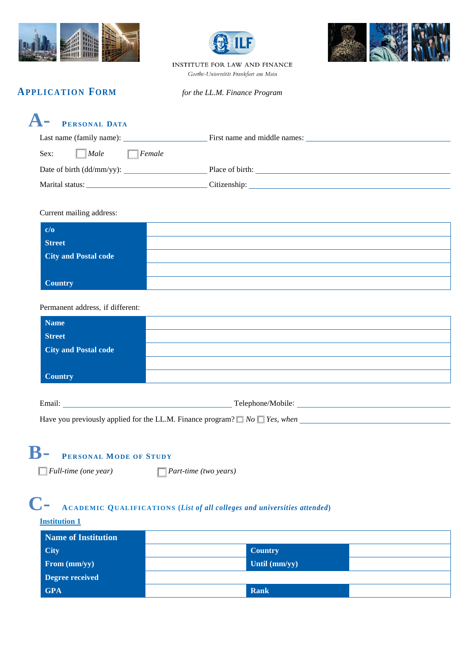





INSTITUTE FOR LAW AND FINANCE Goethe-Universität Frankfurt am Main

### **APPLICATION FORM** *for the LL.M. Finance Program*

| <b>A</b> PERSONAL DATA   |                              |  |
|--------------------------|------------------------------|--|
| Last name (family name): | First name and middle names: |  |

| Sex:<br> Male<br>Female      |                 |
|------------------------------|-----------------|
| Date of birth $(dd/mm/yy)$ : | Place of birth: |
| Marital status:              | Citizenship:    |

### Current mailing address:

| $c/o$                       |  |
|-----------------------------|--|
| <b>Street</b>               |  |
| <b>City and Postal code</b> |  |
|                             |  |
| <b>Country</b>              |  |

### Permanent address, if different:

| Name                        |  |
|-----------------------------|--|
| <b>Street</b>               |  |
| <b>City and Postal code</b> |  |
|                             |  |
| <b>Country</b>              |  |
|                             |  |

| Email:                                                                                | Telephone/Mobile: |
|---------------------------------------------------------------------------------------|-------------------|
| Have you previously applied for the LL.M. Finance program? $\Box$ No $\Box$ Yes, when |                   |

### **B- PERSONAL MODE OF STUDY**

□ *Full-time (one year)* □ *Part-time (two years)*

### **C- ACADEMIC QUALIFICATIONS (***List of all colleges and universities attended***)**

### **Institution 1**

| Name of Institution |                |  |
|---------------------|----------------|--|
| <b>City</b>         | <b>Country</b> |  |
| From (mm/yy)        | Until (mm/yy)  |  |
| Degree received     |                |  |
| <b>GPA</b>          | Rank           |  |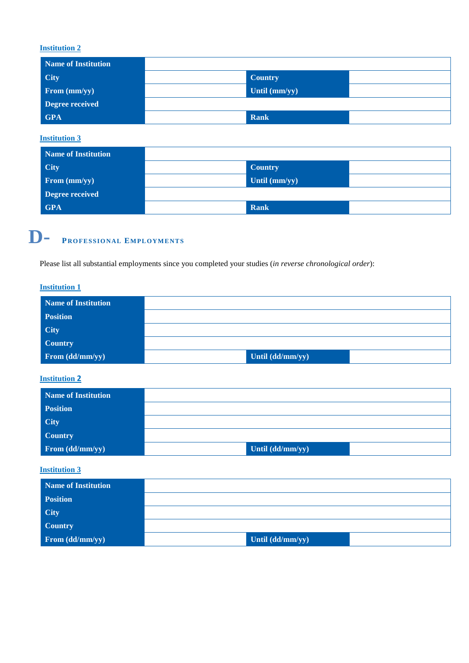### **Institution 2**

| Name of Institution |                |  |
|---------------------|----------------|--|
| <b>City</b>         | <b>Country</b> |  |
| From (mm/yy)        | Until (mm/yy)  |  |
| Degree received     |                |  |
| <b>GPA</b>          | Rank           |  |

**Institution 3**

| <b>Name of Institution</b> |                |  |
|----------------------------|----------------|--|
| <b>City</b>                | <b>Country</b> |  |
| From (mm/yy)               | Until (mm/yy)  |  |
| Degree received            |                |  |
| <b>GPA</b>                 | Rank           |  |

# **D- PROFESSIONAL EMPLOYMENTS**

Please list all substantial employments since you completed your studies (*in reverse chronological order*):

#### **Institution 1**

| Name of Institution                |                  |  |
|------------------------------------|------------------|--|
| <b>Position</b>                    |                  |  |
| <b>City</b>                        |                  |  |
| <b>Country</b>                     |                  |  |
| From $\frac{d \overline{d}{m}}{y}$ | Until (dd/mm/yy) |  |

### **Institution 2**

| Name of Institution |                    |  |
|---------------------|--------------------|--|
| <b>Position</b>     |                    |  |
| <b>City</b>         |                    |  |
| <b>Country</b>      |                    |  |
| From (dd/mm/yy)     | Until $(dd/mm/yy)$ |  |

### **Institution 3**

| Name of Institution |                  |  |
|---------------------|------------------|--|
| <b>Position</b>     |                  |  |
| <b>City</b>         |                  |  |
| <b>Country</b>      |                  |  |
| From (dd/mm/yy)     | Until (dd/mm/yy) |  |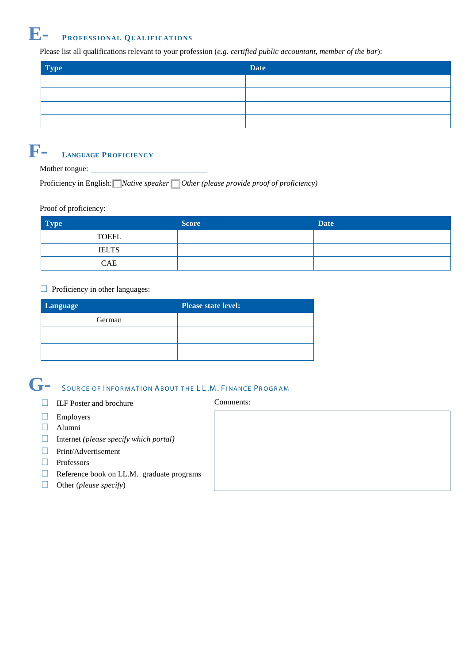## **E- PROFESSIONAL QUALIFICATIONS**

Please list all qualifications relevant to your profession (*e.g. certified public accountant, member of the bar*):

| <b>Type</b> | <b>Date</b> |
|-------------|-------------|
|             |             |
|             |             |
|             |             |
|             |             |

## **F- LANGUAGE PROFICIENCY**

Mother tongue:

Proficiency in English: □*Native speaker* □ *Other (please provide proof of proficiency)*

### Proof of proficiency:

| <b>Type</b>  | <b>Score</b> | <b>Date</b> |
|--------------|--------------|-------------|
| TOEFL        |              |             |
| <b>IELTS</b> |              |             |
| <b>CAE</b>   |              |             |

### $\Box$  Proficiency in other languages:

| Language | <b>Please state level:</b> |
|----------|----------------------------|
| German   |                            |
|          |                            |
|          |                            |

### **G-** SOUR CE OF I NFOR MATION ABOUT THE L L .M. <sup>F</sup> INANCE PROGRAM

- □ ILF Poster and brochure Comments:
- □ Employers
- □ Alumni
- □ Internet *(please specify which portal)*
- □ Print/Advertisement
- □ Professors
- □ Reference book on LL.M. graduate programs
- □ Other (*please specify*)